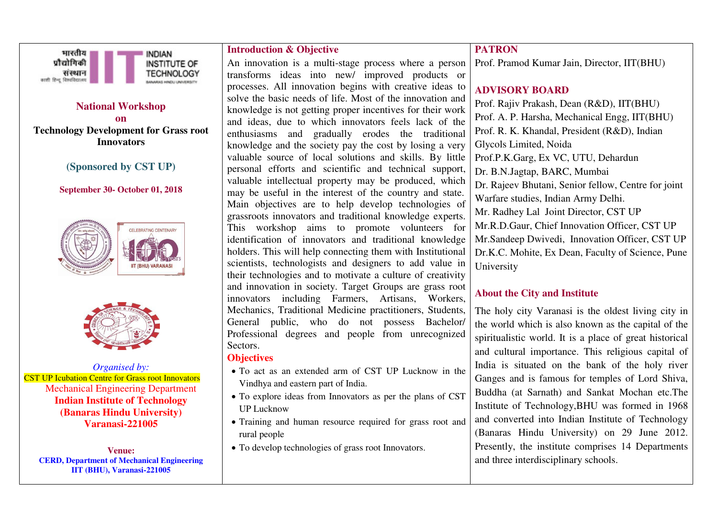

## **National Workshop**

**on Technology Development for Grass root Innovators** 

## **(Sponsored by CST UP)**

#### **September 30- October 01, 2018**





*Organised by:*  CST UP Icubation Centre for Grass root Innovators Mechanical Engineering Department **Indian Institute of Technology (Banaras Hindu University) Varanasi-221005** 

**Venue: CERD, Department of Mechanical Engineering IIT (BHU), Varanasi-221005**

### **Introduction & Objective**

An innovation is a multi-stage process where a person transforms ideas into new/ improved products or processes. All innovation begins with creative ideas to solve the basic needs of life. Most of the innovation and knowledge is not getting proper incentives for their work and ideas, due to which innovators feels lack of the enthusiasms and gradually erodes the traditional knowledge and the society pay the cost by losing a very valuable source of local solutions and skills. By little personal efforts and scientific and technical support, valuable intellectual property may be produced, which may be useful in the interest of the country and state. Main objectives are to help develop technologies of grassroots innovators and traditional knowledge experts. This workshop aims to promote volunteers for identification of innovators and traditional knowledge holders. This will help connecting them with Institutional scientists, technologists and designers to add value in their technologies and to motivate a culture of creativity and innovation in society. Target Groups are grass root innovators including Farmers, Artisans, Workers, Mechanics, Traditional Medicine practitioners, Students, General public, who do not possess Bachelor/ Professional degrees and people from unrecognized Sectors.

#### **Objectives**

- To act as an extended arm of CST UP Lucknow in the Vindhya and eastern part of India.
- To explore ideas from Innovators as per the plans of CST UP Lucknow
- Training and human resource required for grass root and rural people
- To develop technologies of grass root Innovators.

# **PATRON**

Prof. Pramod Kumar Jain, Director, IIT(BHU)

# **ADVISORY BOARD**

Prof. Rajiv Prakash, Dean (R&D), IIT(BHU) Prof. A. P. Harsha, Mechanical Engg, IIT(BHU) Prof. R. K. Khandal, President (R&D), Indian Glycols Limited, Noida Prof.P.K.Garg, Ex VC, UTU, Dehardun Dr. B.N.Jagtap, BARC, Mumbai Dr. Rajeev Bhutani, Senior fellow, Centre for joint Warfare studies, Indian Army Delhi. Mr. Radhey Lal Joint Director, CST UP Mr.R.D.Gaur, Chief Innovation Officer, CST UP Mr.Sandeep Dwivedi, Innovation Officer, CST UP Dr.K.C. Mohite, Ex Dean, Faculty of Science, Pune University

### **About the City and Institute**

The holy city Varanasi is the oldest living city in the world which is also known as the capital of the spiritualistic world. It is a place of great historical and cultural importance. This religious capital of India is situated on the bank of the holy river Ganges and is famous for temples of Lord Shiva, Buddha (at Sarnath) and Sankat Mochan etc.The Institute of Technology,BHU was formed in 1968 and converted into Indian Institute of Technology (Banaras Hindu University) on 29 June 2012. Presently, the institute comprises 14 Departments and three interdisciplinary schools.